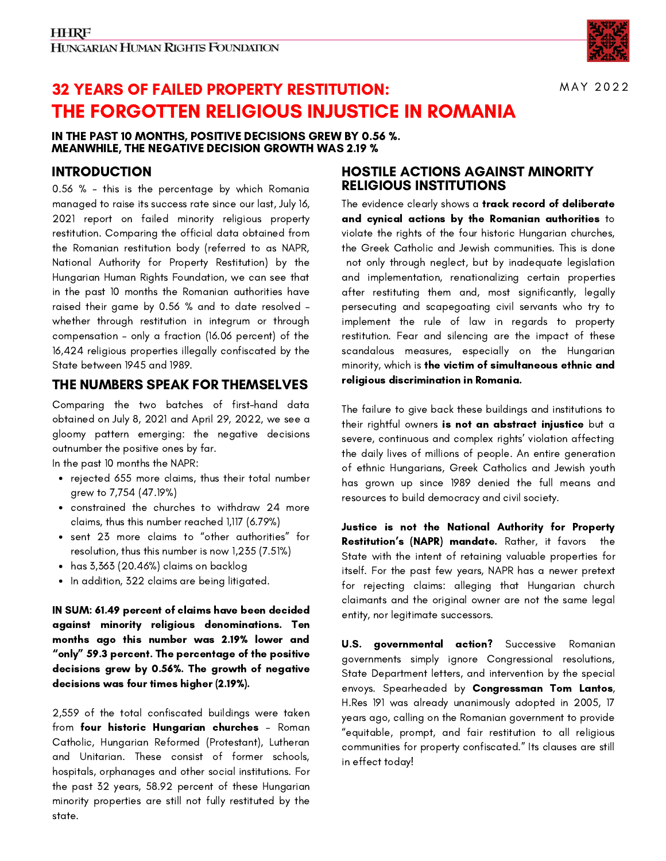

MAY 2022

# THE FORGOTTEN RELIGIOUS INJUSTICE IN ROMANIA 32 YEARS OF FAILED PROPERTY RESTITUTION:

#### IN THE PAST 10 MONTHS, POSITIVE DECISIONS GREW BY 0.56 %. MEANWHILE, THE NEGATIVE DECISION GROWTH WAS 2.19 %

# INTRODUCTION

0.56 % - this is the percentage by which Romania managed to raise its success rate since our last, July 16, 2021 report on failed minority religious property restitution. Comparing the official data obtained from the Romanian restitution body (referred to as NAPR, National Authority for Property Restitution) by the Hungarian Human Rights Foundation, we can see that in the past 10 months the Romanian authorities have raised their game by 0.56 % and to date resolved – whether through restitution in integrum or through compensation – only a fraction (16.06 percent) of the 16,424 religious properties illegally confiscated by the State between 1945 and 1989.

# THE NUMBERS SPEAK FOR THEMSELVES

gloomy pattern emerging: the negative decisions Comparing the two batches of first-hand data obtained on July 8, 2021 and April 29, 2022, we see a outnumber the positive ones by far.

In the past 10 months the NAPR:

- rejected 655 more claims, thus their total number grew to 7,754 (47.19%)
- constrained the churches to withdraw 24 more claims, thus this number reached 1,117 (6.79%)
- sent 23 more claims to "other authorities" for resolution, thus this number is now 1,235 (7.51%)
- has 3,363 (20.46%) claims on backlog
- In addition, 322 claims are being litigated.  $\bullet$

IN SUM: 61.49 percent of claims have been decided against minority religious denominations. Ten months ago this number was 2.19% lower and "only" 59.3 percent. The percentage of the positive decisions grew by 0.56%. The growth of negative decisions was four times higher (2.19%).

2,559 of the total confiscated buildings were taken from four historic Hungarian churches - Roman Catholic, Hungarian Reformed (Protestant), Lutheran and Unitarian. These consist of former schools, hospitals, orphanages and other social institutions. For the past 32 years, 58.92 percent of these Hungarian minority properties are still not fully restituted by the state.

## HOSTILE ACTIONS AGAINST MINORITY RELIGIOUS INSTITUTIONS

The evidence clearly shows a track record of deliberate and cynical actions by the Romanian authorities to violate the rights of the four historic Hungarian churches, the Greek Catholic and Jewish communities. This is done not only through neglect, but by inadequate legislation and implementation, renationalizing certain properties after restituting them and, most significantly, legally persecuting and scapegoating civil servants who try to implement the rule of law in regards to property restitution. Fear and silencing are the impact of these scandalous measures, especially on the Hungarian minority, which is the victim of simultaneous ethnic and religious discrimination in Romania.

The failure to give back these buildings and institutions to their rightful owners is not an abstract injustice but a severe, continuous and complex rights' violation affecting the daily lives of millions of people. An entire generation of ethnic Hungarians, Greek Catholics and Jewish youth has grown up since 1989 denied the full means and resources to build democracy and civil society.

Justice is not the National Authority for Property Restitution's (NAPR) mandate. Rather, it favors the State with the intent of retaining valuable properties for itself. For the past few years, NAPR has a newer pretext for rejecting claims: alleging that Hungarian church claimants and the original owner are not the same legal entity, nor legitimate successors.

**U.S. governmental action?** Successive Romanian governments simply ignore Congressional resolutions, State Department letters, and intervention by the special envoys. Spearheaded by Congressman Tom Lantos, H.Res 191 was already unanimously adopted in 2005, 17 years ago, calling on the Romanian government to provide "equitable, prompt, and fair restitution to all religious communities for property confiscated." Its clauses are still in effect today!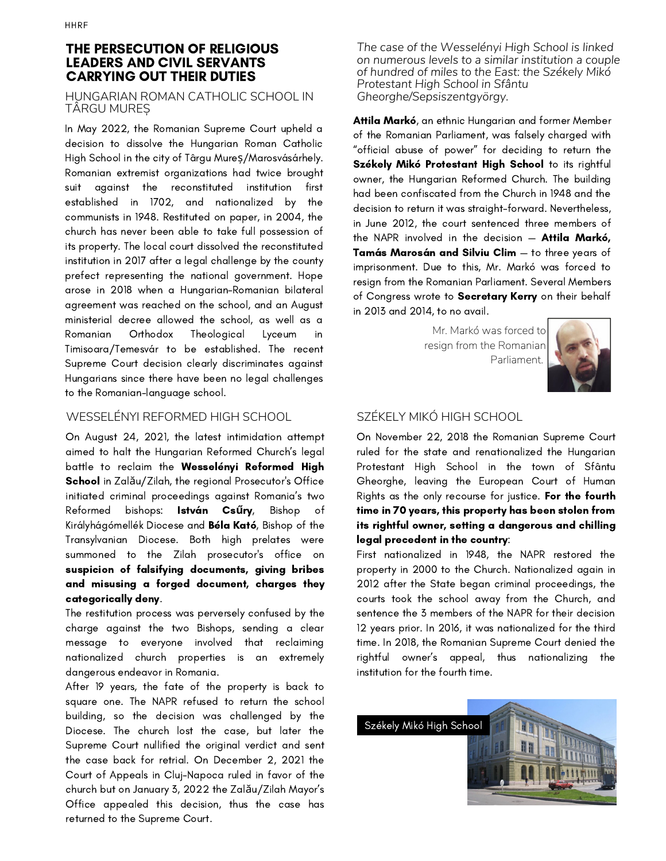#### THE PERSECUTION OF RELIGIOUS LEADERS AND CIVIL SERVANTS CARRYING OUT THEIR DUTIES

#### HUNGARIAN ROMAN CATHOLIC SCHOOL IN TÂRGU MUREȘ

In May 2022, the Romanian Supreme Court upheld a decision to dissolve the Hungarian Roman Catholic High School in the city of Târgu Mureș/Marosvásárhely. Romanian extremist organizations had twice brought suit against the reconstituted institution first established in 1702, and nationalized by the communists in 1948. Restituted on paper, in 2004, the church has never been able to take full possession of its property. The local court dissolved the reconstituted institution in 2017 after a legal challenge by the county prefect representing the national government. Hope arose in 2018 when a Hungarian-Romanian bilateral agreement was reached on the school, and an August ministerial decree allowed the school, as well as a Romanian Orthodox Theological Lyceum in Timisoara/Temesvár to be established. The recent Supreme Court decision clearly discriminates against Hungarians since there have been no legal challenges to the Romanian-language school.

#### WESSELÉNYI REFORMED HIGH SCHOOL

On August 24, 2021, the latest intimidation attempt aimed to halt the Hungarian Reformed Church's legal battle to reclaim the Wesselényi Reformed High School in Zalău/Zilah, the regional Prosecutor's Office initiated criminal proceedings against Romania's two Reformed bishops: István Cs**ű**ry, Bishop of Királyhágómellék Diocese and Béla Kató, Bishop of the Transylvanian Diocese. Both high prelates were summoned to the Zilah prosecutor's office on suspicion of falsifying documents, giving bribes and misusing a forged document, charges they categorically deny.

The restitution process was perversely confused by the charge against the two Bishops, sending a clear message to everyone involved that reclaiming nationalized church properties is an extremely dangerous endeavor in Romania.

After 19 years, the fate of the property is back to square one. The NAPR refused to return the school building, so the decision was challenged by the Diocese. The church lost the case, but later the Supreme Court nullified the original verdict and sent the case back for retrial. On December 2, 2021 the Court of Appeals in Cluj-Napoca ruled in favor of the church but on January 3, 2022 the Zalău/Zilah Mayor's Office appealed this decision, thus the case has returned to the Supreme Court.

*The case of the Wesselényi High School is linked on numerous levels to a similar institution a couple of hundred of miles to the East: the Székely Mikó Protestant High School in Sfântu Gheorghe/Sepsiszentgyörgy.*

Attila Markó, an ethnic Hungarian and former Member of the Romanian Parliament, was falsely charged with "official abuse of power" for deciding to return the Székely Mikó Protestant High School to its rightful owner, the Hungarian Reformed Church. The building had been confiscated from the Church in 1948 and the decision to return it was straight-forward. Nevertheless, in June 2012, the court sentenced three members of the NAPR involved in the decision - **Attila Markó**, Tamás Marosán and Silviu Clim — to three years of imprisonment. Due to this, Mr. Markó was forced to resign from the Romanian Parliament. Several Members of Congress wrote to Secretary Kerry on their behalf in 2013 and 2014, to no avail.

> Mr. Markó was forced to resign from the Romanian Parliament.



# SZÉKELY MIKÓ HIGH SCHOOL

On November 22, 2018 the Romanian Supreme Court ruled for the state and renationalized the Hungarian Protestant High School in the town of Sfântu Gheorghe, leaving the European Court of Human Rights as the only recourse for justice. For the fourth time in 70 years, this property has been stolen from its rightful owner, setting a dangerous and chilling legal precedent in the country:

First nationalized in 1948, the NAPR restored the property in 2000 to the Church. Nationalized again in 2012 after the State began criminal proceedings, the courts took the school away from the Church, and sentence the 3 members of the NAPR for their decision 12 years prior. In 2016, it was nationalized for the third time. In 2018, the Romanian Supreme Court denied the rightful owner's appeal, thus nationalizing the institution for the fourth time.